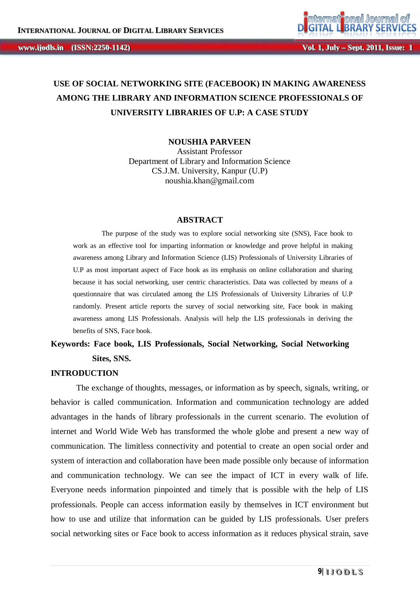# **USE OF SOCIAL NETWORKING SITE (FACEBOOK) IN MAKING AWARENESS AMONG THE LIBRARY AND INFORMATION SCIENCE PROFESSIONALS OF UNIVERSITY LIBRARIES OF U.P: A CASE STUDY**

**NOUSHIA PARVEEN**

Assistant Professor Department of Library and Information Science CS.J.M. University, Kanpur (U.P) noushia.khan@gmail.com

#### **ABSTRACT**

The purpose of the study was to explore social networking site (SNS), Face book to work as an effective tool for imparting information or knowledge and prove helpful in making awareness among Library and Information Science (LIS) Professionals of University Libraries of U.P as most important aspect of Face book as its emphasis on online collaboration and sharing because it has social networking, user centric characteristics. Data was collected by means of a questionnaire that was circulated among the LIS Professionals of University Libraries of U.P randomly. Present article reports the survey of social networking site, Face book in making awareness among LIS Professionals. Analysis will help the LIS professionals in deriving the benefits of SNS, Face book.

# **Keywords: Face book, LIS Professionals, Social Networking, Social Networking Sites, SNS.**

#### **INTRODUCTION**

The exchange of thoughts, messages, or information as by speech, signals, writing, or behavior is called communication. Information and communication technology are added advantages in the hands of library professionals in the current scenario. The evolution of internet and World Wide Web has transformed the whole globe and present a new way of communication. The limitless connectivity and potential to create an open social order and system of interaction and collaboration have been made possible only because of information and communication technology. We can see the impact of ICT in every walk of life. Everyone needs information pinpointed and timely that is possible with the help of LIS professionals. People can access information easily by themselves in ICT environment but how to use and utilize that information can be guided by LIS professionals. User prefers social networking sites or Face book to access information as it reduces physical strain, save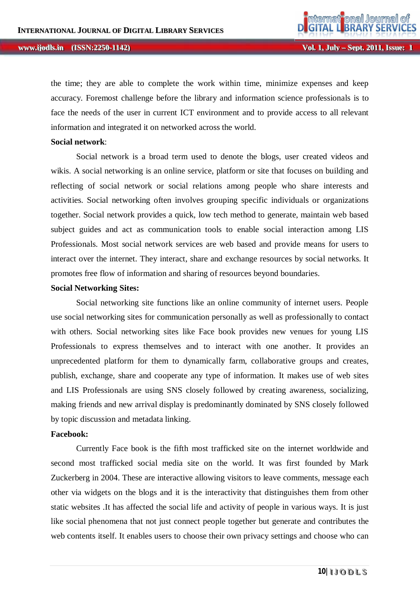the time; they are able to complete the work within time, minimize expenses and keep accuracy. Foremost challenge before the library and information science professionals is to face the needs of the user in current ICT environment and to provide access to all relevant information and integrated it on networked across the world.

#### **Social network**:

Social network is a broad term used to denote the blogs, user created videos and wikis. A social networking is an online service, platform or site that focuses on building and reflecting of social network or social relations among people who share interests and activities. Social networking often involves grouping specific individuals or organizations together. Social network provides a quick, low tech method to generate, maintain web based subject guides and act as communication tools to enable social interaction among LIS Professionals. Most social network services are web based and provide means for users to interact over the internet. They interact, share and exchange resources by social networks. It promotes free flow of information and sharing of resources beyond boundaries.

#### **Social Networking Sites:**

Social networking site functions like an online community of internet users. People use social networking sites for communication personally as well as professionally to contact with others. Social networking sites like Face book provides new venues for young LIS Professionals to express themselves and to interact with one another. It provides an unprecedented platform for them to dynamically farm, collaborative groups and creates, publish, exchange, share and cooperate any type of information. It makes use of web sites and LIS Professionals are using SNS closely followed by creating awareness, socializing, making friends and new arrival display is predominantly dominated by SNS closely followed by topic discussion and metadata linking.

#### **Facebook:**

Currently Face book is the fifth most trafficked site on the internet worldwide and second most trafficked social media site on the world. It was first founded by Mark Zuckerberg in 2004. These are interactive allowing visitors to leave comments, message each other via widgets on the blogs and it is the interactivity that distinguishes them from other static websites .It has affected the social life and activity of people in various ways. It is just like social phenomena that not just connect people together but generate and contributes the web contents itself. It enables users to choose their own privacy settings and choose who can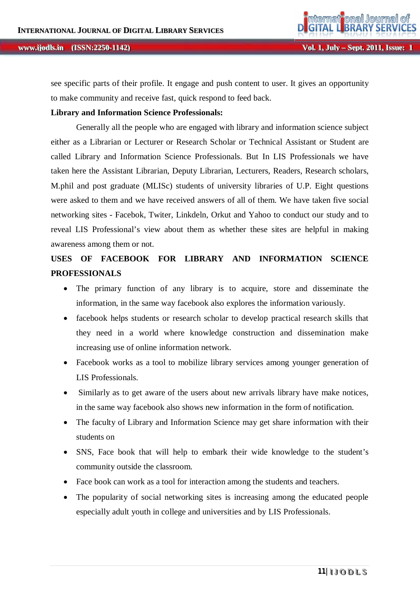#### **ii jjooddllss...** *iISSN:2250-1142)*

see specific parts of their profile. It engage and push content to user. It gives an opportunity to make community and receive fast, quick respond to feed back.

#### **Library and Information Science Professionals:**

Generally all the people who are engaged with library and information science subject either as a Librarian or Lecturer or Research Scholar or Technical Assistant or Student are called Library and Information Science Professionals. But In LIS Professionals we have taken here the Assistant Librarian, Deputy Librarian, Lecturers, Readers, Research scholars, M.phil and post graduate (MLISc) students of university libraries of U.P. Eight questions were asked to them and we have received answers of all of them. We have taken five social networking sites - Facebok, Twiter, Linkdeln, Orkut and Yahoo to conduct our study and to reveal LIS Professional's view about them as whether these sites are helpful in making awareness among them or not.

# **USES OF FACEBOOK FOR LIBRARY AND INFORMATION SCIENCE PROFESSIONALS**

- The primary function of any library is to acquire, store and disseminate the information, in the same way facebook also explores the information variously.
- facebook helps students or research scholar to develop practical research skills that they need in a world where knowledge construction and dissemination make increasing use of online information network.
- Facebook works as a tool to mobilize library services among younger generation of LIS Professionals.
- Similarly as to get aware of the users about new arrivals library have make notices, in the same way facebook also shows new information in the form of notification.
- The faculty of Library and Information Science may get share information with their students on
- SNS, Face book that will help to embark their wide knowledge to the student's community outside the classroom.
- Face book can work as a tool for interaction among the students and teachers.
- The popularity of social networking sites is increasing among the educated people especially adult youth in college and universities and by LIS Professionals.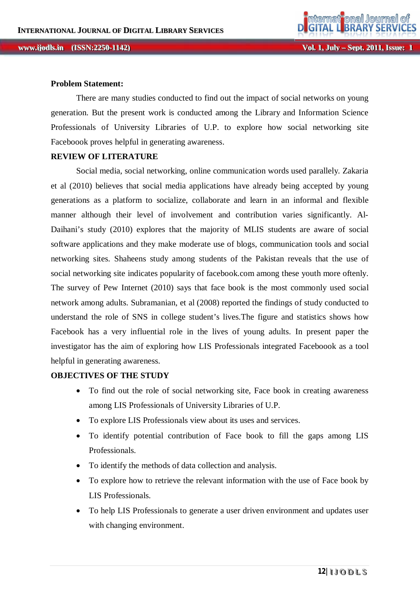#### **Problem Statement:**

There are many studies conducted to find out the impact of social networks on young generation. But the present work is conducted among the Library and Information Science Professionals of University Libraries of U.P. to explore how social networking site Faceboook proves helpful in generating awareness.

#### **REVIEW OF LITERATURE**

Social media, social networking, online communication words used parallely. Zakaria et al (2010) believes that social media applications have already being accepted by young generations as a platform to socialize, collaborate and learn in an informal and flexible manner although their level of involvement and contribution varies significantly. Al-Daihani's study (2010) explores that the majority of MLIS students are aware of social software applications and they make moderate use of blogs, communication tools and social networking sites. Shaheens study among students of the Pakistan reveals that the use of social networking site indicates popularity of facebook.com among these youth more oftenly. The survey of Pew Internet (2010) says that face book is the most commonly used social network among adults. Subramanian, et al (2008) reported the findings of study conducted to understand the role of SNS in college student's lives.The figure and statistics shows how Facebook has a very influential role in the lives of young adults. In present paper the investigator has the aim of exploring how LIS Professionals integrated Faceboook as a tool helpful in generating awareness.

### **OBJECTIVES OF THE STUDY**

- To find out the role of social networking site, Face book in creating awareness among LIS Professionals of University Libraries of U.P.
- To explore LIS Professionals view about its uses and services.
- To identify potential contribution of Face book to fill the gaps among LIS Professionals.
- To identify the methods of data collection and analysis.
- To explore how to retrieve the relevant information with the use of Face book by LIS Professionals.
- To help LIS Professionals to generate a user driven environment and updates user with changing environment.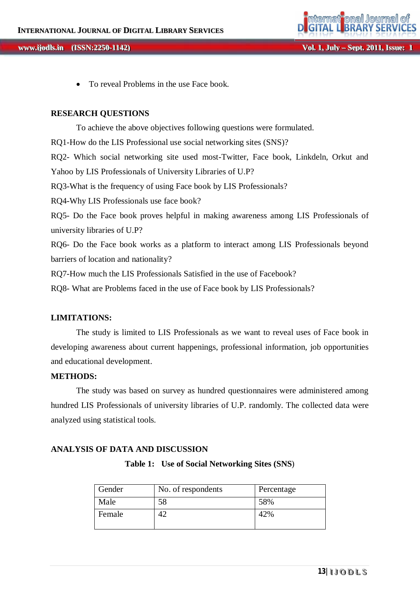

To reveal Problems in the use Face book.

#### **RESEARCH QUESTIONS**

To achieve the above objectives following questions were formulated. RQ1-How do the LIS Professional use social networking sites (SNS)? RQ2- Which social networking site used most-Twitter, Face book, Linkdeln, Orkut and Yahoo by LIS Professionals of University Libraries of U.P? RQ3-What is the frequency of using Face book by LIS Professionals? RQ4-Why LIS Professionals use face book? RQ5- Do the Face book proves helpful in making awareness among LIS Professionals of university libraries of U.P? RQ6- Do the Face book works as a platform to interact among LIS Professionals beyond barriers of location and nationality? RQ7-How much the LIS Professionals Satisfied in the use of Facebook?

RQ8- What are Problems faced in the use of Face book by LIS Professionals?

### **LIMITATIONS:**

The study is limited to LIS Professionals as we want to reveal uses of Face book in developing awareness about current happenings, professional information, job opportunities and educational development.

### **METHODS:**

The study was based on survey as hundred questionnaires were administered among hundred LIS Professionals of university libraries of U.P. randomly. The collected data were analyzed using statistical tools.

### **ANALYSIS OF DATA AND DISCUSSION**

**Table 1: Use of Social Networking Sites (SNS**)

| Gender | No. of respondents | Percentage |
|--------|--------------------|------------|
| Male   | 58                 | 58%        |
| Female |                    | 42%        |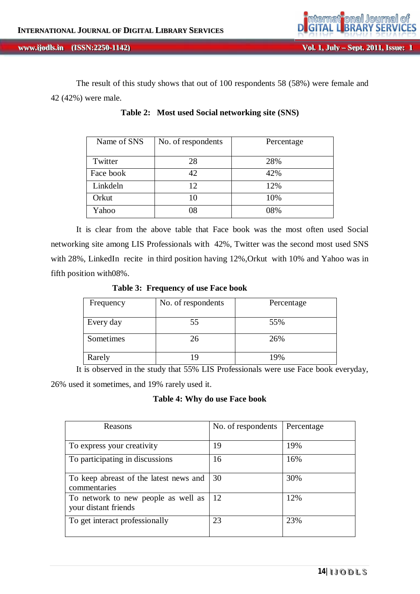The result of this study shows that out of 100 respondents 58 (58%) were female and 42 (42%) were male.

| Name of SNS | No. of respondents | Percentage |
|-------------|--------------------|------------|
| Twitter     | 28                 | 28%        |
| Face book   | 42                 | 42%        |
| Linkdeln    | 12                 | 12%        |
| Orkut       | 10                 | 10%        |
| Yahoo       | 08                 | 08%        |

**Table 2: Most used Social networking site (SNS)**

It is clear from the above table that Face book was the most often used Social networking site among LIS Professionals with 42%, Twitter was the second most used SNS with 28%, LinkedIn recite in third position having 12%,Orkut with 10% and Yahoo was in fifth position with08%.

 **Table 3: Frequency of use Face book**

| Frequency | No. of respondents | Percentage |
|-----------|--------------------|------------|
| Every day | 55                 | 55%        |
| Sometimes | 26                 | 26%        |
| Rarely    |                    | 19%        |

It is observed in the study that 55% LIS Professionals were use Face book everyday, 26% used it sometimes, and 19% rarely used it.

**Table 4: Why do use Face book**

| Reasons                                                     | No. of respondents | Percentage |
|-------------------------------------------------------------|--------------------|------------|
|                                                             |                    |            |
| To express your creativity                                  | 19                 | 19%        |
| To participating in discussions                             | 16                 | 16%        |
| To keep abreast of the latest news and<br>commentaries      | 30                 | 30%        |
| To network to new people as well as<br>your distant friends | -12                | 12%        |
| To get interact professionally                              | 23                 | 23%        |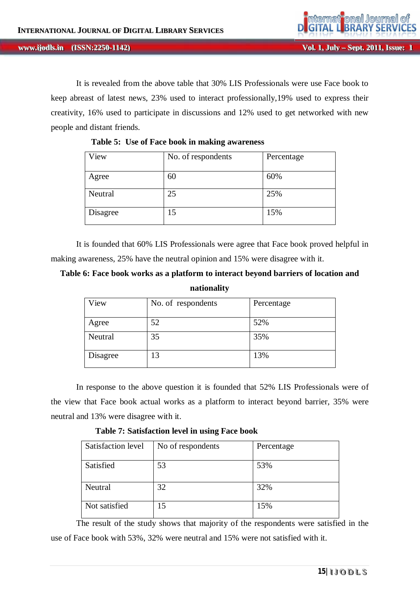It is revealed from the above table that 30% LIS Professionals were use Face book to keep abreast of latest news, 23% used to interact professionally,19% used to express their creativity, 16% used to participate in discussions and 12% used to get networked with new people and distant friends.

| View     | No. of respondents | Percentage |
|----------|--------------------|------------|
| Agree    | 60                 | 60%        |
| Neutral  | 25                 | 25%        |
| Disagree | 15                 | 15%        |

**Table 5: Use of Face book in making awareness**

It is founded that 60% LIS Professionals were agree that Face book proved helpful in making awareness, 25% have the neutral opinion and 15% were disagree with it.

## **Table 6: Face book works as a platform to interact beyond barriers of location and nationality**

| View     | No. of respondents | Percentage |
|----------|--------------------|------------|
| Agree    | 52                 | 52%        |
| Neutral  | 35                 | 35%        |
| Disagree | 13                 | 13%        |

In response to the above question it is founded that 52% LIS Professionals were of the view that Face book actual works as a platform to interact beyond barrier, 35% were neutral and 13% were disagree with it.

**Table 7: Satisfaction level in using Face book** 

| Satisfaction level | No of respondents | Percentage |
|--------------------|-------------------|------------|
| Satisfied          | 53                | 53%        |
| Neutral            | 32                | 32%        |
| Not satisfied      | 15                | 15%        |

The result of the study shows that majority of the respondents were satisfied in the use of Face book with 53%, 32% were neutral and 15% were not satisfied with it.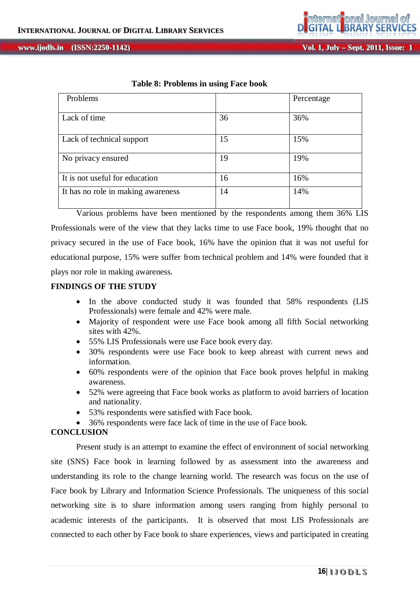**Vol. 1, July – Sept. 2011, Issue: 1** 

| Table 8: Problems in using Face book |  |
|--------------------------------------|--|
|--------------------------------------|--|

| Problems                           |    | Percentage |
|------------------------------------|----|------------|
|                                    |    |            |
| Lack of time                       | 36 | 36%        |
|                                    |    |            |
| Lack of technical support          | 15 | 15%        |
|                                    |    |            |
| No privacy ensured                 | 19 | 19%        |
|                                    |    |            |
| It is not useful for education     | 16 | 16%        |
| It has no role in making awareness | 14 | 14%        |
|                                    |    |            |

Various problems have been mentioned by the respondents among them 36% LIS Professionals were of the view that they lacks time to use Face book, 19% thought that no privacy secured in the use of Face book, 16% have the opinion that it was not useful for educational purpose, 15% were suffer from technical problem and 14% were founded that it plays nor role in making awareness.

### **FINDINGS OF THE STUDY**

- In the above conducted study it was founded that 58% respondents (LIS Professionals) were female and 42% were male.
- Majority of respondent were use Face book among all fifth Social networking sites with 42%.
- 55% LIS Professionals were use Face book every day.
- 30% respondents were use Face book to keep abreast with current news and information.
- 60% respondents were of the opinion that Face book proves helpful in making awareness.
- 52% were agreeing that Face book works as platform to avoid barriers of location and nationality.
- 53% respondents were satisfied with Face book.
- 36% respondents were face lack of time in the use of Face book.

### **CONCLUSION**

Present study is an attempt to examine the effect of environment of social networking site (SNS) Face book in learning followed by as assessment into the awareness and understanding its role to the change learning world. The research was focus on the use of Face book by Library and Information Science Professionals. The uniqueness of this social networking site is to share information among users ranging from highly personal to academic interests of the participants. It is observed that most LIS Professionals are connected to each other by Face book to share experiences, views and participated in creating